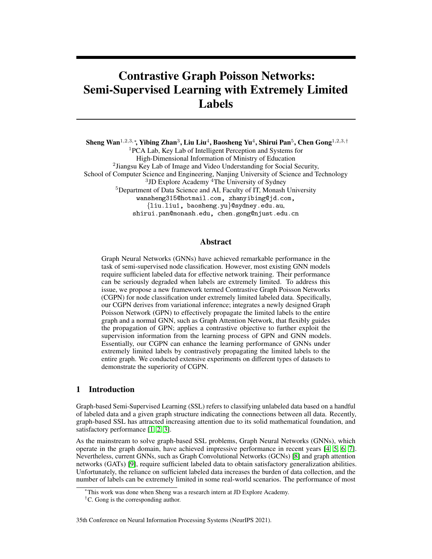# Contrastive Graph Poisson Networks: Semi-Supervised Learning with Extremely Limited Labels

Sheng Wan $^{1,2,3,\ast},$  Yibing Zhan $^3$ , Liu Liu $^4$ , Baosheng Yu $^4$ , Shirui Pan $^5$ , Chen Gong $^{1,2,3,\dag}$ <sup>1</sup>PCA Lab, Key Lab of Intelligent Perception and Systems for High-Dimensional Information of Ministry of Education <sup>2</sup> Jiangsu Key Lab of Image and Video Understanding for Social Security, School of Computer Science and Engineering, Nanjing University of Science and Technology <sup>3</sup>JD Explore Academy<sup>4</sup>The University of Sydney <sup>5</sup>Department of Data Science and AI, Faculty of IT, Monash University wansheng315@hotmail.com, zhanyibing@jd.com, {liu.liu1, baosheng.yu}@sydney.edu.au, shirui.pan@monash.edu, chen.gong@njust.edu.cn

# Abstract

Graph Neural Networks (GNNs) have achieved remarkable performance in the task of semi-supervised node classification. However, most existing GNN models require sufficient labeled data for effective network training. Their performance can be seriously degraded when labels are extremely limited. To address this issue, we propose a new framework termed Contrastive Graph Poisson Networks (CGPN) for node classification under extremely limited labeled data. Specifically, our CGPN derives from variational inference; integrates a newly designed Graph Poisson Network (GPN) to effectively propagate the limited labels to the entire graph and a normal GNN, such as Graph Attention Network, that flexibly guides the propagation of GPN; applies a contrastive objective to further exploit the supervision information from the learning process of GPN and GNN models. Essentially, our CGPN can enhance the learning performance of GNNs under extremely limited labels by contrastively propagating the limited labels to the entire graph. We conducted extensive experiments on different types of datasets to demonstrate the superiority of CGPN.

# 1 Introduction

Graph-based Semi-Supervised Learning (SSL) refers to classifying unlabeled data based on a handful of labeled data and a given graph structure indicating the connections between all data. Recently, graph-based SSL has attracted increasing attention due to its solid mathematical foundation, and satisfactory performance [\[1,](#page-9-0) [2,](#page-9-1) [3\]](#page-9-2).

As the mainstream to solve graph-based SSL problems, Graph Neural Networks (GNNs), which operate in the graph domain, have achieved impressive performance in recent years [\[4,](#page-9-3) [5,](#page-9-4) [6,](#page-9-5) [7\]](#page-9-6). Nevertheless, current GNNs, such as Graph Convolutional Networks (GCNs) [\[8\]](#page-9-7) and graph attention networks (GATs) [\[9\]](#page-9-8), require sufficient labeled data to obtain satisfactory generalization abilities. Unfortunately, the reliance on sufficient labeled data increases the burden of data collection, and the number of labels can be extremely limited in some real-world scenarios. The performance of most

<sup>∗</sup>This work was done when Sheng was a research intern at JD Explore Academy.

<sup>&</sup>lt;sup> $\dagger$ </sup>C. Gong is the corresponding author.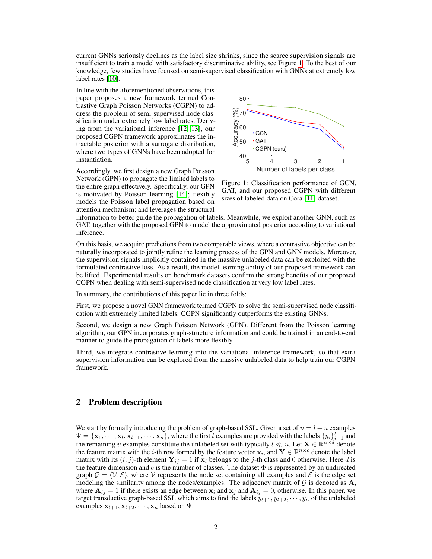current GNNs seriously declines as the label size shrinks, since the scarce supervision signals are insufficient to train a model with satisfactory discriminative ability, see Figure [1.](#page-1-0) To the best of our knowledge, few studies have focused on semi-supervised classification with GNNs at extremely low label rates [\[10\]](#page-9-9).

In line with the aforementioned observations, this paper proposes a new framework termed Contrastive Graph Poisson Networks (CGPN) to address the problem of semi-supervised node classification under extremely low label rates. Deriving from the variational inference [\[12,](#page-9-11) [13\]](#page-9-12), our proposed CGPN framework approximates the intractable posterior with a surrogate distribution, where two types of GNNs have been adopted for instantiation.

Accordingly, we first design a new Graph Poisson Network (GPN) to propagate the limited labels to the entire graph effectively. Specifically, our GPN is motivated by Poisson learning [\[14\]](#page-9-13); flexibly models the Poisson label propagation based on attention mechanism; and leverages the structural



<span id="page-1-0"></span>Figure 1: Classification performance of GCN, GAT, and our proposed CGPN with different sizes of labeled data on Cora [\[11\]](#page-9-10) dataset.

information to better guide the propagation of labels. Meanwhile, we exploit another GNN, such as GAT, together with the proposed GPN to model the approximated posterior according to variational inference.

On this basis, we acquire predictions from two comparable views, where a contrastive objective can be naturally incorporated to jointly refine the learning process of the GPN and GNN models. Moreover, the supervision signals implicitly contained in the massive unlabeled data can be exploited with the formulated contrastive loss. As a result, the model learning ability of our proposed framework can be lifted. Experimental results on benchmark datasets confirm the strong benefits of our proposed CGPN when dealing with semi-supervised node classification at very low label rates.

In summary, the contributions of this paper lie in three folds:

First, we propose a novel GNN framework termed CGPN to solve the semi-supervised node classification with extremely limited labels. CGPN significantly outperforms the existing GNNs.

Second, we design a new Graph Poisson Network (GPN). Different from the Poisson learning algorithm, our GPN incorporates graph-structure information and could be trained in an end-to-end manner to guide the propagation of labels more flexibly.

Third, we integrate contrastive learning into the variational inference framework, so that extra supervision information can be explored from the massive unlabeled data to help train our CGPN framework.

## 2 Problem description

We start by formally introducing the problem of graph-based SSL. Given a set of  $n = l + u$  examples  $\Psi = {\mathbf{x}_1, \dots, \mathbf{x}_l, \mathbf{x}_{l+1}, \dots, \mathbf{x}_n}$ , where the first l examples are provided with the labels  $\{y_i\}_{i=1}^l$  and the remaining u examples constitute the unlabeled set with typically  $l \ll u$ . Let  $\mathbf{X} \in \mathbb{R}^{n \times d}$  denote the feature matrix with the *i*-th row formed by the feature vector  $\mathbf{x}_i$ , and  $\mathbf{Y} \in \mathbb{R}^{n \times c}$  denote the label matrix with its  $(i, j)$ -th element  $Y_{ij} = 1$  if  $x_i$  belongs to the j-th class and 0 otherwise. Here d is the feature dimension and c is the number of classes. The dataset  $\Phi$  is represented by an undirected graph  $\mathcal{G} = \langle \mathcal{V}, \mathcal{E} \rangle$ , where V represents the node set containing all examples and  $\mathcal{E}$  is the edge set modeling the similarity among the nodes/examples. The adjacency matrix of  $G$  is denoted as  $A$ , where  $A_{ij} = 1$  if there exists an edge between  $x_i$  and  $x_j$  and  $A_{ij} = 0$ , otherwise. In this paper, we target transductive graph-based SSL which aims to find the labels  $y_{l+1}, y_{l+2}, \dots, y_n$  of the unlabeled examples  $\mathbf{x}_{l+1}, \mathbf{x}_{l+2}, \cdots, \mathbf{x}_n$  based on  $\Psi$ .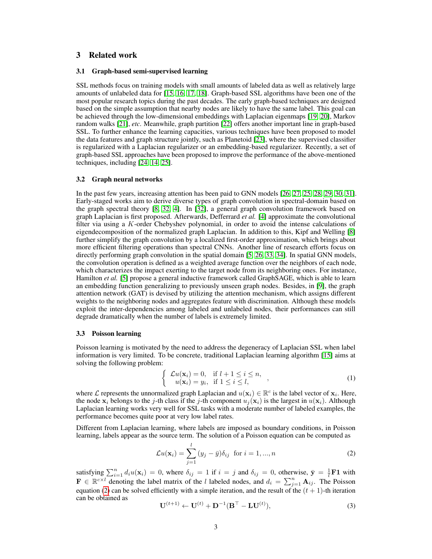# 3 Related work

#### 3.1 Graph-based semi-supervised learning

SSL methods focus on training models with small amounts of labeled data as well as relatively large amounts of unlabeled data for [\[15,](#page-9-14) [16,](#page-9-15) [17,](#page-9-16) [18\]](#page-10-0). Graph-based SSL algorithms have been one of the most popular research topics during the past decades. The early graph-based techniques are designed based on the simple assumption that nearby nodes are likely to have the same label. This goal can be achieved through the low-dimensional embeddings with Laplacian eigenmaps [\[19,](#page-10-1) [20\]](#page-10-2), Markov random walks [\[21\]](#page-10-3), *etc*. Meanwhile, graph partition [\[22\]](#page-10-4) offers another important line in graph-based SSL. To further enhance the learning capacities, various techniques have been proposed to model the data features and graph structure jointly, such as Planetoid [\[23\]](#page-10-5), where the supervised classifier is regularized with a Laplacian regularizer or an embedding-based regularizer. Recently, a set of graph-based SSL approaches have been proposed to improve the performance of the above-mentioned techniques, including [\[24,](#page-10-6) [14,](#page-9-13) [25\]](#page-10-7).

#### 3.2 Graph neural networks

In the past few years, increasing attention has been paid to GNN models [\[26,](#page-10-8) [27,](#page-10-9) [25,](#page-10-7) [28,](#page-10-10) [29,](#page-10-11) [30,](#page-10-12) [31\]](#page-10-13). Early-staged works aim to derive diverse types of graph convolution in spectral-domain based on the graph spectral theory [\[8,](#page-9-7) [32,](#page-10-14) [4\]](#page-9-3). In [\[32\]](#page-10-14), a general graph convolution framework based on graph Laplacian is first proposed. Afterwards, Defferrard *et al.* [\[4\]](#page-9-3) approximate the convolutional filter via using a  $K$ -order Chebyshev polynomial, in order to avoid the intense calculations of eigendecomposition of the normalized graph Laplacian. In addition to this, Kipf and Welling [\[8\]](#page-9-7) further simplify the graph convolution by a localized first-order approximation, which brings about more efficient filtering operations than spectral CNNs. Another line of research efforts focus on directly performing graph convolution in the spatial domain [\[5,](#page-9-4) [26,](#page-10-8) [33,](#page-10-15) [34\]](#page-10-16). In spatial GNN models, the convolution operation is defined as a weighted average function over the neighbors of each node, which characterizes the impact exerting to the target node from its neighboring ones. For instance, Hamilton *et al.* [\[5\]](#page-9-4) propose a general inductive framework called GraphSAGE, which is able to learn an embedding function generalizing to previously unseen graph nodes. Besides, in [\[9\]](#page-9-8), the graph attention network (GAT) is devised by utilizing the attention mechanism, which assigns different weights to the neighboring nodes and aggregates feature with discrimination. Although these models exploit the inter-dependencies among labeled and unlabeled nodes, their performances can still degrade dramatically when the number of labels is extremely limited.

#### 3.3 Poisson learning

Poisson learning is motivated by the need to address the degeneracy of Laplacian SSL when label information is very limited. To be concrete, traditional Laplacian learning algorithm [\[15\]](#page-9-14) aims at solving the following problem:

$$
\begin{cases}\n\mathcal{L}u(\mathbf{x}_i) = 0, & \text{if } l+1 \leq i \leq n, \\
u(\mathbf{x}_i) = y_i, & \text{if } 1 \leq i \leq l,\n\end{cases}
$$
\n(1)

where  $\mathcal L$  represents the unnormalized graph Laplacian and  $u(\mathbf x_i) \in \mathbb R^c$  is the label vector of  $\mathbf x_i$ . Here, the node  $x_i$  belongs to the j-th class if the j-th component  $u_i(x_i)$  is the largest in  $u(x_i)$ . Although Laplacian learning works very well for SSL tasks with a moderate number of labeled examples, the performance becomes quite poor at very low label rates.

Different from Laplacian learning, where labels are imposed as boundary conditions, in Poisson learning, labels appear as the source term. The solution of a Poisson equation can be computed as

<span id="page-2-0"></span>
$$
\mathcal{L}u(\mathbf{x}_i) = \sum_{j=1}^{l} (y_j - \bar{y})\delta_{ij} \text{ for } i = 1, ..., n
$$
 (2)

satisfying  $\sum_{i=1}^n d_i u(\mathbf{x}_i) = 0$ , where  $\delta_{ij} = 1$  if  $i = j$  and  $\delta_{ij} = 0$ , otherwise,  $\bar{\mathbf{y}} = \frac{1}{l} \mathbf{F1}$  with  $\mathbf{F} \in \mathbb{R}^{c \times l}$  denoting the label matrix of the *l* labeled nodes, and  $d_i = \sum_{j=1}^n \mathbf{A}_{ij}$ . The Poisson equation [\(2\)](#page-2-0) can be solved efficiently with a simple iteration, and the result of the  $(t + 1)$ -th iteration can be obtained as

$$
U^{(t+1)} \leftarrow U^{(t)} + D^{-1} (B^{\top} - LU^{(t)}), \tag{3}
$$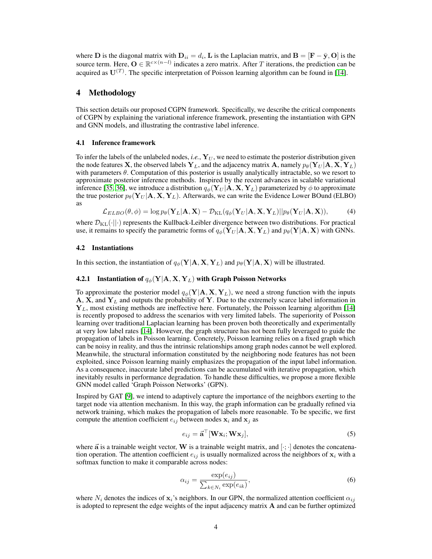where **D** is the diagonal matrix with  $D_{ii} = d_i$ , **L** is the Laplacian matrix, and  $B = [F - \bar{y}, O]$  is the source term. Here,  $O \in \mathbb{R}^{c \times (n-l)}$  indicates a zero matrix. After T iterations, the prediction can be acquired as  $\mathbf{U}^{(T)}$ . The specific interpretation of Poisson learning algorithm can be found in [\[14\]](#page-9-13).

## 4 Methodology

This section details our proposed CGPN framework. Specifically, we describe the critical components of CGPN by explaining the variational inference framework, presenting the instantiation with GPN and GNN models, and illustrating the contrastive label inference.

## 4.1 Inference framework

To infer the labels of the unlabeled nodes, *i.e.*,  $Y_U$ , we need to estimate the posterior distribution given the node features **X**, the observed labels  $Y_L$ , and the adjacency matrix **A**, namely  $p_\theta(Y_U | A, X, Y_L)$ with parameters  $\theta$ . Computation of this posterior is usually analytically intractable, so we resort to approximate posterior inference methods. Inspired by the recent advances in scalable variational inference [\[35,](#page-10-17) [36\]](#page-11-0), we introduce a distribution  $q_{\phi}(\mathbf{Y}_U | \mathbf{A}, \mathbf{X}, \mathbf{Y}_L)$  parameterized by  $\phi$  to approximate the true posterior  $p_{\theta}(\mathbf{Y}_U | \mathbf{A}, \mathbf{X}, \mathbf{Y}_L)$ . Afterwards, we can write the Evidence Lower BOund (ELBO) as

$$
\mathcal{L}_{ELBO}(\theta,\phi) = \log p_{\theta}(\mathbf{Y}_{L}|\mathbf{A},\mathbf{X}) - \mathcal{D}_{\mathrm{KL}}(q_{\phi}(\mathbf{Y}_{U}|\mathbf{A},\mathbf{X},\mathbf{Y}_{L})||p_{\theta}(\mathbf{Y}_{U}|\mathbf{A},\mathbf{X})),
$$
(4)

where  $\mathcal{D}_{\text{KL}}(\cdot||\cdot)$  represents the Kullback-Leibler divergence between two distributions. For practical use, it remains to specify the parametric forms of  $q_{\phi}(\mathbf{Y}_U | \mathbf{A}, \mathbf{X}, \mathbf{Y}_L)$  and  $p_{\theta}(\mathbf{Y} | \mathbf{A}, \mathbf{X})$  with GNNs.

#### 4.2 Instantiations

In this section, the instantiation of  $q_{\phi}(\mathbf{Y}|\mathbf{A}, \mathbf{X}, \mathbf{Y}_L)$  and  $p_{\theta}(\mathbf{Y}|\mathbf{A}, \mathbf{X})$  will be illustrated.

## **4.2.1** Instantiation of  $q_{\phi}(Y|A, X, Y_L)$  with Graph Poisson Networks

To approximate the posterior model  $q_{\phi}(\mathbf{Y}|\mathbf{A}, \mathbf{X}, \mathbf{Y}_L)$ , we need a strong function with the inputs  $\mathbf{A}, \mathbf{X}, \mathbf{A}$ , and  $\mathbf{Y}_L$  and outputs the probability of Y. Due to the extremely scarce label information in  $Y_L$ , most existing methods are ineffective here. Fortunately, the Poisson learning algorithm [\[14\]](#page-9-13) is recently proposed to address the scenarios with very limited labels. The superiority of Poisson learning over traditional Laplacian learning has been proven both theoretically and experimentally at very low label rates [\[14\]](#page-9-13). However, the graph structure has not been fully leveraged to guide the propagation of labels in Poisson learning. Concretely, Poisson learning relies on a fixed graph which can be noisy in reality, and thus the intrinsic relationships among graph nodes cannot be well explored. Meanwhile, the structural information constituted by the neighboring node features has not been exploited, since Poisson learning mainly emphasizes the propagation of the input label information. As a consequence, inaccurate label predictions can be accumulated with iterative propagation, which inevitably results in performance degradation. To handle these difficulties, we propose a more flexible GNN model called 'Graph Poisson Networks' (GPN).

Inspired by GAT [\[9\]](#page-9-8), we intend to adaptively capture the importance of the neighbors exerting to the target node via attention mechanism. In this way, the graph information can be gradually refined via network training, which makes the propagation of labels more reasonable. To be specific, we first compute the attention coefficient  $e_{ij}$  between nodes  $x_i$  and  $x_j$  as

$$
e_{ij} = \vec{\mathbf{a}}^{\top} [\mathbf{W} \mathbf{x}_i; \mathbf{W} \mathbf{x}_j],\tag{5}
$$

where  $\vec{a}$  is a trainable weight vector, W is a trainable weight matrix, and  $[\cdot; \cdot]$  denotes the concatenation operation. The attention coefficient  $e_{ij}$  is usually normalized across the neighbors of  $x_i$  with a softmax function to make it comparable across nodes:

$$
\alpha_{ij} = \frac{\exp(e_{ij})}{\sum_{k \in N_i} \exp(e_{ik})},\tag{6}
$$

where  $N_i$  denotes the indices of  $x_i$ 's neighbors. In our GPN, the normalized attention coefficient  $\alpha_{ij}$ is adopted to represent the edge weights of the input adjacency matrix A and can be further optimized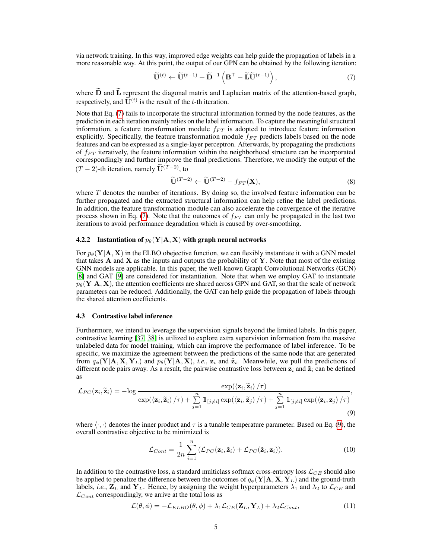via network training. In this way, improved edge weights can help guide the propagation of labels in a more reasonable way. At this point, the output of our GPN can be obtained by the following iteration:

<span id="page-4-0"></span>
$$
\widetilde{\mathbf{U}}^{(t)} \leftarrow \widetilde{\mathbf{U}}^{(t-1)} + \widetilde{\mathbf{D}}^{-1} \left( \mathbf{B}^{\top} - \widetilde{\mathbf{L}} \widetilde{\mathbf{U}}^{(t-1)} \right), \tag{7}
$$

where  $\widetilde{D}$  and  $\widetilde{L}$  represent the diagonal matrix and Laplacian matrix of the attention-based graph, respectively, and  $\tilde{\mathbf{U}}^{(t)}$  is the result of the t-th iteration.

Note that Eq. [\(7\)](#page-4-0) fails to incorporate the structural information formed by the node features, as the prediction in each iteration mainly relies on the label information. To capture the meaningful structural information, a feature transformation module  $f_{FT}$  is adopted to introduce feature information explicitly. Specifically, the feature transformation module  $f_{FT}$  predicts labels based on the node features and can be expressed as a single-layer perceptron. Afterwards, by propagating the predictions of  $f_{FT}$  iteratively, the feature information within the neighborhood structure can be incorporated correspondingly and further improve the final predictions. Therefore, we modify the output of the  $(T - 2)$ -th iteration, namely  $\widetilde{\mathbf{U}}^{(T-2)}$ , to

$$
\widetilde{\mathbf{U}}^{(T-2)} \leftarrow \widetilde{\mathbf{U}}^{(T-2)} + f_{FT}(\mathbf{X}),\tag{8}
$$

where  $T$  denotes the number of iterations. By doing so, the involved feature information can be further propagated and the extracted structural information can help refine the label predictions. In addition, the feature transformation module can also accelerate the convergence of the iterative process shown in Eq. [\(7\)](#page-4-0). Note that the outcomes of  $f_{FT}$  can only be propagated in the last two iterations to avoid performance degradation which is caused by over-smoothing.

#### 4.2.2 Instantiation of  $p_{\theta}(Y|A, X)$  with graph neural networks

For  $p_{\theta}(\mathbf{Y}|\mathbf{A}, \mathbf{X})$  in the ELBO obejective function, we can flexibly instantiate it with a GNN model that takes  $A$  and  $X$  as the inputs and outputs the probability of  $Y$ . Note that most of the existing GNN models are applicable. In this paper, the well-known Graph Convolutional Networks (GCN) [\[8\]](#page-9-7) and GAT [\[9\]](#page-9-8) are considered for instantiation. Note that when we employ GAT to instantiate  $p_{\theta}(\mathbf{Y}|\mathbf{A}, \mathbf{X})$ , the attention coefficients are shared across GPN and GAT, so that the scale of network parameters can be reduced. Additionally, the GAT can help guide the propagation of labels through the shared attention coefficients.

#### 4.3 Contrastive label inference

Furthermore, we intend to leverage the supervision signals beyond the limited labels. In this paper, contrastive learning [\[37,](#page-11-1) [38\]](#page-11-2) is utilized to explore extra supervision information from the massive unlabeled data for model training, which can improve the performance of label inference. To be specific, we maximize the agreement between the predictions of the same node that are generated from  $q_{\phi}(\mathbf{Y}|\mathbf{A}, \mathbf{X}, \mathbf{Y}_L)$  and  $p_{\theta}(\mathbf{Y}|\mathbf{A}, \mathbf{X})$ , *i.e.*,  $\mathbf{z}_i$  and  $\tilde{\mathbf{z}}_i$ . Meanwhile, we pull the predictions of different node pairs away. As a result, the pairwise contrastive loss between  $z_i$  and  $\tilde{z}_i$  can be defined as

<span id="page-4-1"></span>
$$
\mathcal{L}_{PC}(\mathbf{z}_i, \widetilde{\mathbf{z}}_i) = -\log \frac{\exp(\langle \mathbf{z}_i, \widetilde{\mathbf{z}}_i \rangle / \tau)}{\exp(\langle \mathbf{z}_i, \widetilde{\mathbf{z}}_i \rangle / \tau) + \sum_{j=1}^n \mathbb{I}_{[j \neq i]} \exp(\langle \mathbf{z}_i, \widetilde{\mathbf{z}}_j \rangle / \tau) + \sum_{j=1}^n \mathbb{I}_{[j \neq i]} \exp(\langle \mathbf{z}_i, \mathbf{z}_j \rangle / \tau)},
$$
\n(9)

where  $\langle \cdot, \cdot \rangle$  denotes the inner product and  $\tau$  is a tunable temperature parameter. Based on Eq. [\(9\)](#page-4-1), the overall contrastive objective to be minimized is

$$
\mathcal{L}_{Cont} = \frac{1}{2n} \sum_{i=1}^{n} (\mathcal{L}_{PC}(\mathbf{z}_i, \tilde{\mathbf{z}}_i) + \mathcal{L}_{PC}(\tilde{\mathbf{z}}_i, \mathbf{z}_i)).
$$
\n(10)

In addition to the contrastive loss, a standard multiclass softmax cross-entropy loss  $\mathcal{L}_{CE}$  should also be applied to penalize the difference between the outcomes of  $q_{\phi}(\mathbf{Y}|\mathbf{A}, \mathbf{X}, \mathbf{Y}_L)$  and the ground-truth labels, *i.e.*,  $\mathbf{Z}_L$  and  $\mathbf{Y}_L$ . Hence, by assigning the weight hyperparameters  $\lambda_1$  and  $\lambda_2$  to  $\mathcal{L}_{CE}$  and  $\mathcal{L}_{Cont}$  correspondingly, we arrive at the total loss as

<span id="page-4-2"></span>
$$
\mathcal{L}(\theta, \phi) = -\mathcal{L}_{ELBO}(\theta, \phi) + \lambda_1 \mathcal{L}_{CE}(\mathbf{Z}_L, \mathbf{Y}_L) + \lambda_2 \mathcal{L}_{Cont},
$$
\n(11)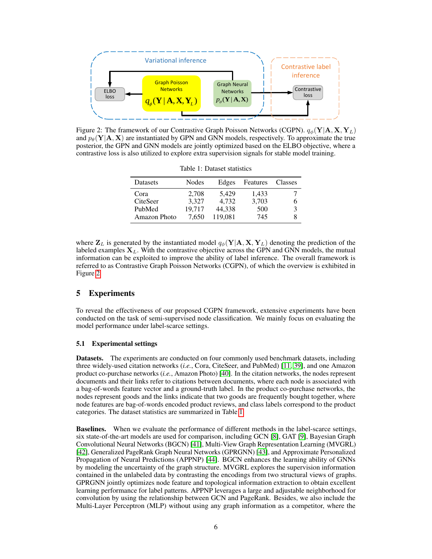

<span id="page-5-0"></span>Figure 2: The framework of our Contrastive Graph Poisson Networks (CGPN).  $q_{\phi}(\mathbf{Y}|\mathbf{A}, \mathbf{X}, \mathbf{Y}_L)$ and  $p_{\theta}(\mathbf{Y}|\mathbf{A}, \mathbf{X})$  are instantiated by GPN and GNN models, respectively. To approximate the true posterior, the GPN and GNN models are jointly optimized based on the ELBO objective, where a contrastive loss is also utilized to explore extra supervision signals for stable model training.

| Datasets            | Nodes  | Edges   | Features | Classes |
|---------------------|--------|---------|----------|---------|
| Cora                | 2,708  | 5.429   | 1,433    |         |
| CiteSeer            | 3.327  | 4.732   | 3,703    |         |
| PubMed              | 19.717 | 44.338  | 500      |         |
| <b>Amazon Photo</b> | 7.650  | 119,081 | 745      |         |

<span id="page-5-1"></span>Table 1: Dataset statistics

where  $\mathbf{Z}_L$  is generated by the instantiated model  $q_{\phi}(\mathbf{Y}|\mathbf{A}, \mathbf{X}, \mathbf{Y}_L)$  denoting the prediction of the labeled examples  $X_L$ . With the contrastive objective across the GPN and GNN models, the mutual information can be exploited to improve the ability of label inference. The overall framework is referred to as Contrastive Graph Poisson Networks (CGPN), of which the overview is exhibited in Figure [2.](#page-5-0)

# 5 Experiments

To reveal the effectiveness of our proposed CGPN framework, extensive experiments have been conducted on the task of semi-supervised node classification. We mainly focus on evaluating the model performance under label-scarce settings.

## 5.1 Experimental settings

Datasets. The experiments are conducted on four commonly used benchmark datasets, including three widely-used citation networks (*i.e.*, Cora, CiteSeer, and PubMed) [\[11,](#page-9-10) [39\]](#page-11-3), and one Amazon product co-purchase networks (*i.e.*, Amazon Photo) [\[40\]](#page-11-4). In the citation networks, the nodes represent documents and their links refer to citations between documents, where each node is associated with a bag-of-words feature vector and a ground-truth label. In the product co-purchase networks, the nodes represent goods and the links indicate that two goods are frequently bought together, where node features are bag-of-words encoded product reviews, and class labels correspond to the product categories. The dataset statistics are summarized in Table [1.](#page-5-1)

Baselines. When we evaluate the performance of different methods in the label-scarce settings, six state-of-the-art models are used for comparison, including GCN [\[8\]](#page-9-7), GAT [\[9\]](#page-9-8), Bayesian Graph Convolutional Neural Networks (BGCN) [\[41\]](#page-11-5), Multi-View Graph Representation Learning (MVGRL) [\[42\]](#page-11-6), Generalized PageRank Graph Neural Networks (GPRGNN) [\[43\]](#page-11-7), and Approximate Personalized Propagation of Neural Predictions (APPNP) [\[44\]](#page-11-8). BGCN enhances the learning ability of GNNs by modeling the uncertainty of the graph structure. MVGRL explores the supervision information contained in the unlabeled data by contrasting the encodings from two structural views of graphs. GPRGNN jointly optimizes node feature and topological information extraction to obtain excellent learning performance for label patterns. APPNP leverages a large and adjustable neighborhood for convolution by using the relationship between GCN and PageRank. Besides, we also include the Multi-Layer Perceptron (MLP) without using any graph information as a competitor, where the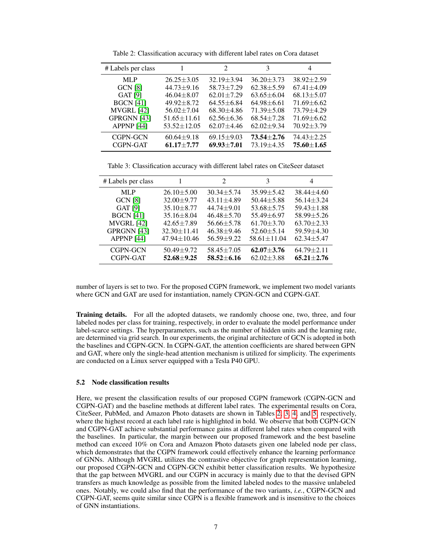| # Labels per class    |                   | $\mathcal{D}$    | 3                | 4                |
|-----------------------|-------------------|------------------|------------------|------------------|
| MLP                   | $26.25 \pm 3.05$  | $32.19 \pm 3.94$ | $36.20 + 3.73$   | $38.92 \pm 2.59$ |
| <b>GCN [8]</b>        | $44.73 + 9.16$    | $58.73 + 7.29$   | $62.38 + 5.59$   | $67.41 + 4.09$   |
| GAT [9]               | $46.04 \pm 8.07$  | $62.01 + 7.29$   | $63.65 + 6.04$   | $68.13 \pm 5.07$ |
| <b>BGCN</b> [41]      | $49.92 + 8.72$    | $64.55 + 6.84$   | $64.98 \pm 6.61$ | $71.69 \pm 6.62$ |
| MVGRL [42]            | $56.02 \pm 7.04$  | $68.30 + 4.86$   | $71.39 + 5.08$   | $73.79 + 4.29$   |
| GPRGNN [43]           | $51.65 \pm 11.61$ | $62.56 + 6.36$   | $68.54 + 7.28$   | $71.69 + 6.62$   |
| APPNP <sub>[44]</sub> | $53.52 \pm 12.05$ | $62.07 + 4.46$   | $62.02 + 9.34$   | $70.92 + 3.79$   |
| CGPN-GCN              | $60.64 + 9.18$    | $69.15 + 9.03$   | $73.54 + 2.76$   | $74.43 + 2.25$   |
| CGPN-GAT              | $61.17 + 7.77$    | $69.93 + 7.01$   | $73.19 + 4.35$   | $75.60 + 1.65$   |

<span id="page-6-0"></span>Table 2: Classification accuracy with different label rates on Cora dataset

<span id="page-6-1"></span>Table 3: Classification accuracy with different label rates on CiteSeer dataset

| # Labels per class    |                   | $\mathcal{D}_{\mathcal{L}}$ | 3                 | 4                |
|-----------------------|-------------------|-----------------------------|-------------------|------------------|
| MLP                   | $26.10 \pm 5.00$  | $30.34 + 5.74$              | $35.99 + 5.42$    | $38.44 \pm 4.60$ |
| <b>GCN [8]</b>        | 32.00±9.77        | $43.11 + 4.89$              | $50.44 + 5.88$    | $56.14 \pm 3.24$ |
| GAT [9]               | $35.10 + 8.77$    | $44.74 + 9.01$              | $53.68 + 5.75$    | $59.43 \pm 1.88$ |
| <b>BGCN</b> [41]      | $35.16 \pm 8.04$  | $46.48 + 5.70$              | $55.49 + 6.97$    | $58.99 + 5.26$   |
| MVGRL [42]            | $42.65 + 7.89$    | $56.66 + 5.78$              | $61.70 + 3.70$    | $63.70 + 2.33$   |
| GPRGNN [43]           | $32.30 \pm 11.41$ | $46.38 + 9.46$              | $52.60 + 5.14$    | $59.59 + 4.30$   |
| APPNP <sub>[44]</sub> | $47.94 \pm 10.46$ | $56.59 + 9.22$              | $58.61 \pm 11.04$ | $62.34 + 5.47$   |
| CGPN-GCN              | $50.49 + 9.72$    | $58.45 \pm 7.05$            | $62.07 + 3.76$    | $64.79 + 2.11$   |
| CGPN-GAT              | $52.68 + 9.25$    | $58.52 \pm 6.16$            | $62.02 + 3.88$    | $65.21 + 2.76$   |

number of layers is set to two. For the proposed CGPN framework, we implement two model variants where GCN and GAT are used for instantiation, namely CPGN-GCN and CGPN-GAT.

Training details. For all the adopted datasets, we randomly choose one, two, three, and four labeled nodes per class for training, respectively, in order to evaluate the model performance under label-scarce settings. The hyperparameters, such as the number of hidden units and the learning rate, are determined via grid search. In our experiments, the original architecture of GCN is adopted in both the baselines and CGPN-GCN. In CGPN-GAT, the attention coefficients are shared between GPN and GAT, where only the single-head attention mechanism is utilized for simplicity. The experiments are conducted on a Linux server equipped with a Tesla P40 GPU.

#### <span id="page-6-2"></span>5.2 Node classification results

Here, we present the classification results of our proposed CGPN framework (CGPN-GCN and CGPN-GAT) and the baseline methods at different label rates. The experimental results on Cora, CiteSeer, PubMed, and Amazon Photo datasets are shown in Tables [2,](#page-6-0) [3,](#page-6-1) [4,](#page-7-0) and [5,](#page-7-1) respectively, where the highest record at each label rate is highlighted in bold. We observe that both CGPN-GCN and CGPN-GAT achieve substantial performance gains at different label rates when compared with the baselines. In particular, the margin between our proposed framework and the best baseline method can exceed 10% on Cora and Amazon Photo datasets given one labeled node per class, which demonstrates that the CGPN framework could effectively enhance the learning performance of GNNs. Although MVGRL utilizes the contrastive objective for graph representation learning, our proposed CGPN-GCN and CGPN-GCN exhibit better classification results. We hypothesize that the gap between MVGRL and our CGPN in accuracy is mainly due to that the devised GPN transfers as much knowledge as possible from the limited labeled nodes to the massive unlabeled ones. Notably, we could also find that the performance of the two variants, *i.e.*, CGPN-GCN and CGPN-GAT, seems quite similar since CGPN is a flexible framework and is insensitive to the choices of GNN instantiations.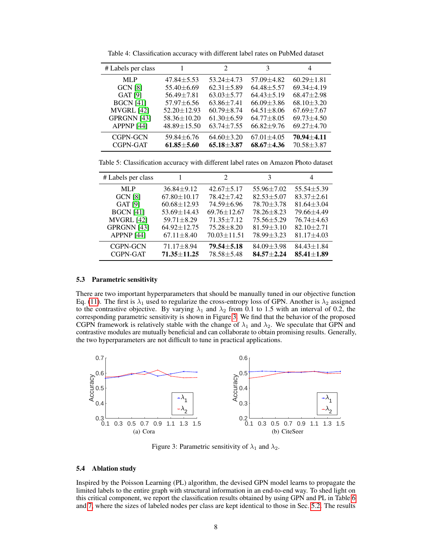| # Labels per class    | 1                                | $\mathcal{D}$                      | 3                                | 4                            |
|-----------------------|----------------------------------|------------------------------------|----------------------------------|------------------------------|
| MLP                   | $47.84 \pm 5.53$                 | $53.24 + 4.73$                     | $57.09 + 4.82$                   | $60.29 \pm 1.81$             |
| <b>GCN</b> [8]        | $55.40 \pm 6.69$                 | $62.31 + 5.89$                     | $64.48 + 5.57$                   | $69.34 + 4.19$               |
| <b>GAT [9]</b>        | $56.49 + 7.81$                   | $63.03 + 5.77$                     | $64.43 + 5.19$                   | $68.47 + 2.98$               |
| <b>BGCN</b> [41]      | $57.97 + 6.56$                   | $63.86 \pm 7.41$                   | $66.09 + 3.86$                   | $68.10 + 3.20$               |
| <b>MVGRL [42]</b>     | $52.20 \pm 12.93$                | $60.79 + 8.74$                     | $64.51 + 8.06$                   | $67.69 + 7.67$               |
| GPRGNN [43]           | $58.36 \pm 10.20$                | $61.30 + 6.59$                     | $64.77 + 8.05$                   | $69.73 + 4.50$               |
| APPNP <sub>[44]</sub> | $48.89 \pm 15.50$                | $63.74 + 7.55$                     | $66.82 + 9.76$                   | $69.27 \pm 4.70$             |
| CGPN-GCN<br>CGPN-GAT  | $59.84 + 6.76$<br>$61.85 + 5.60$ | $64.60 \pm 3.20$<br>$65.18 + 3.87$ | $67.01 + 4.05$<br>$68.67 + 4.36$ | 70.94±4.11<br>$70.58 + 3.87$ |

<span id="page-7-0"></span>Table 4: Classification accuracy with different label rates on PubMed dataset

<span id="page-7-1"></span>Table 5: Classification accuracy with different label rates on Amazon Photo dataset

| # Labels per class    | 1                 | $\mathcal{D}_{\mathcal{L}}$ | 3                | 4                |
|-----------------------|-------------------|-----------------------------|------------------|------------------|
| MLP                   | $36.84 + 9.12$    | $42.67 + 5.17$              | $55.96 \pm 7.02$ | $55.54 + 5.39$   |
| <b>GCN [8]</b>        | $67.80 \pm 10.17$ | $78.42 \pm 7.42$            | $82.53 \pm 5.07$ | $83.37 + 2.61$   |
| <b>GAT [9]</b>        | $60.68 \pm 12.93$ | $74.59 + 6.96$              | $78.70 + 3.78$   | $81.64 + 3.04$   |
| <b>BGCN</b> [41]      | $53.69 \pm 14.43$ | $69.76 \pm 12.67$           | $78.26 + 8.23$   | $79.66 + 4.49$   |
| <b>MVGRL</b> [42]     | $59.71 + 8.29$    | $71.35 + 7.12$              | $75.56 + 5.29$   | $76.74 + 4.63$   |
| GPRGNN [43]           | $64.92 \pm 12.75$ | $75.28 + 8.20$              | $81.59 + 3.10$   | $82.10 + 2.71$   |
| APPNP <sub>[44]</sub> | $67.11 + 8.40$    | $70.03 \pm 11.51$           | $78.99 + 3.23$   | $81.17 \pm 4.03$ |
| CGPN-GCN              | $71.17 + 8.94$    | 79.54±5.18                  | $84.09 \pm 3.98$ | $84.43 \pm 1.84$ |
| CGPN-GAT              | $71.35 + 11.25$   | $78.58 + 5.48$              | $84.57 + 2.24$   | $85.41 + 1.89$   |

## 5.3 Parametric sensitivity

There are two important hyperparameters that should be manually tuned in our objective function Eq. [\(11\)](#page-4-2). The first is  $\lambda_1$  used to regularize the cross-entropy loss of GPN. Another is  $\lambda_2$  assigned to the contrastive objective. By varying  $\lambda_1$  and  $\lambda_2$  from 0.1 to 1.5 with an interval of 0.2, the corresponding parametric sensitivity is shown in Figure [3.](#page-7-2) We find that the behavior of the proposed CGPN framework is relatively stable with the change of  $\lambda_1$  and  $\lambda_2$ . We speculate that GPN and contrastive modules are mutually beneficial and can collaborate to obtain promising results. Generally, the two hyperparameters are not difficult to tune in practical applications.



<span id="page-7-2"></span>Figure 3: Parametric sensitivity of  $\lambda_1$  and  $\lambda_2$ .

## 5.4 Ablation study

Inspired by the Poisson Learning (PL) algorithm, the devised GPN model learns to propagate the limited labels to the entire graph with structural information in an end-to-end way. To shed light on this critical component, we report the classification results obtained by using GPN and PL in Table [6](#page-8-0) and [7,](#page-8-1) where the sizes of labeled nodes per class are kept identical to those in Sec. [5.2.](#page-6-2) The results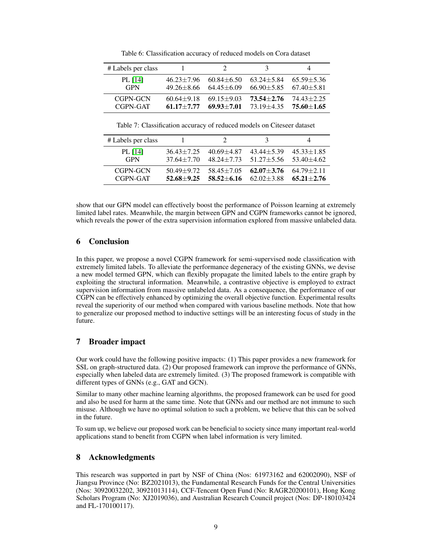| # Labels per class |                  |                | $\mathbf{z}$                  | 4                |
|--------------------|------------------|----------------|-------------------------------|------------------|
| PL [14]            | $46.23 \pm 7.96$ | $60.84 + 6.50$ | $63.24 \pm 5.84$              | $65.59 \pm 5.36$ |
| <b>GPN</b>         | $49.26 + 8.66$   | $64.45 + 6.09$ | $66.90 + 5.85$ $67.40 + 5.81$ |                  |
| CGPN-GCN           | $60.64 + 9.18$   | $69.15 + 9.03$ | $73.54 + 2.76$                | $74.43 + 2.25$   |
| CGPN-GAT           | $61.17 + 7.77$   | $69.93 + 7.01$ | $73.19 + 4.35$                | $75.60 + 1.65$   |

<span id="page-8-0"></span>Table 6: Classification accuracy of reduced models on Cora dataset

<span id="page-8-1"></span>Table 7: Classification accuracy of reduced models on Citeseer dataset

| # Labels per class |                |                  | 3                             |                  |
|--------------------|----------------|------------------|-------------------------------|------------------|
| PL [14]            | $36.43 + 7.25$ | $40.69 + 4.87$   | $43.44 + 5.39$                | $45.33 \pm 1.85$ |
| <b>GPN</b>         | $37.64 + 7.70$ | $48.24 \pm 7.73$ | $51.27 + 5.56$ $53.40 + 4.62$ |                  |
| CGPN-GCN           | $50.49 + 9.72$ | $58.45 + 7.05$   | $62.07 + 3.76$                | $64.79 \pm 2.11$ |
| CGPN-GAT           | $52.68 + 9.25$ | $58.52 + 6.16$   | $62.02 + 3.88$                | $65.21 + 2.76$   |

show that our GPN model can effectively boost the performance of Poisson learning at extremely limited label rates. Meanwhile, the margin between GPN and CGPN frameworks cannot be ignored, which reveals the power of the extra supervision information explored from massive unlabeled data.

# 6 Conclusion

In this paper, we propose a novel CGPN framework for semi-supervised node classification with extremely limited labels. To alleviate the performance degeneracy of the existing GNNs, we devise a new model termed GPN, which can flexibly propagate the limited labels to the entire graph by exploiting the structural information. Meanwhile, a contrastive objective is employed to extract supervision information from massive unlabeled data. As a consequence, the performance of our CGPN can be effectively enhanced by optimizing the overall objective function. Experimental results reveal the superiority of our method when compared with various baseline methods. Note that how to generalize our proposed method to inductive settings will be an interesting focus of study in the future.

# 7 Broader impact

Our work could have the following positive impacts: (1) This paper provides a new framework for SSL on graph-structured data. (2) Our proposed framework can improve the performance of GNNs, especially when labeled data are extremely limited. (3) The proposed framework is compatible with different types of GNNs (e.g., GAT and GCN).

Similar to many other machine learning algorithms, the proposed framework can be used for good and also be used for harm at the same time. Note that GNNs and our method are not immune to such misuse. Although we have no optimal solution to such a problem, we believe that this can be solved in the future.

To sum up, we believe our proposed work can be beneficial to society since many important real-world applications stand to benefit from CGPN when label information is very limited.

# 8 Acknowledgments

This research was supported in part by NSF of China (Nos: 61973162 and 62002090), NSF of Jiangsu Province (No: BZ2021013), the Fundamental Research Funds for the Central Universities (Nos: 30920032202, 30921013114), CCF-Tencent Open Fund (No: RAGR20200101), Hong Kong Scholars Program (No: XJ2019036), and Australian Research Council project (Nos: DP-180103424 and FL-170100117).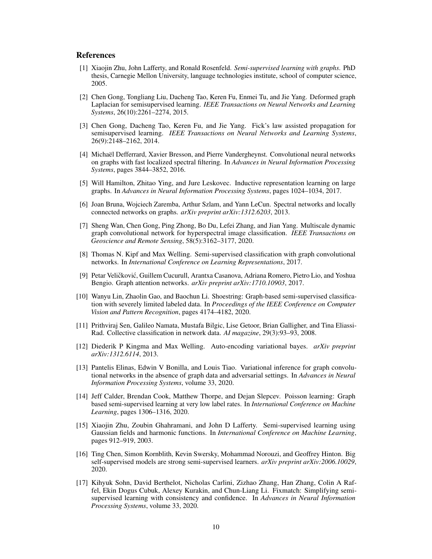## References

- <span id="page-9-0"></span>[1] Xiaojin Zhu, John Lafferty, and Ronald Rosenfeld. *Semi-supervised learning with graphs*. PhD thesis, Carnegie Mellon University, language technologies institute, school of computer science, 2005.
- <span id="page-9-1"></span>[2] Chen Gong, Tongliang Liu, Dacheng Tao, Keren Fu, Enmei Tu, and Jie Yang. Deformed graph Laplacian for semisupervised learning. *IEEE Transactions on Neural Networks and Learning Systems*, 26(10):2261–2274, 2015.
- <span id="page-9-2"></span>[3] Chen Gong, Dacheng Tao, Keren Fu, and Jie Yang. Fick's law assisted propagation for semisupervised learning. *IEEE Transactions on Neural Networks and Learning Systems*, 26(9):2148–2162, 2014.
- <span id="page-9-3"></span>[4] Michaël Defferrard, Xavier Bresson, and Pierre Vandergheynst. Convolutional neural networks on graphs with fast localized spectral filtering. In *Advances in Neural Information Processing Systems*, pages 3844–3852, 2016.
- <span id="page-9-4"></span>[5] Will Hamilton, Zhitao Ying, and Jure Leskovec. Inductive representation learning on large graphs. In *Advances in Neural Information Processing Systems*, pages 1024–1034, 2017.
- <span id="page-9-5"></span>[6] Joan Bruna, Wojciech Zaremba, Arthur Szlam, and Yann LeCun. Spectral networks and locally connected networks on graphs. *arXiv preprint arXiv:1312.6203*, 2013.
- <span id="page-9-6"></span>[7] Sheng Wan, Chen Gong, Ping Zhong, Bo Du, Lefei Zhang, and Jian Yang. Multiscale dynamic graph convolutional network for hyperspectral image classification. *IEEE Transactions on Geoscience and Remote Sensing*, 58(5):3162–3177, 2020.
- <span id="page-9-7"></span>[8] Thomas N. Kipf and Max Welling. Semi-supervised classification with graph convolutional networks. In *International Conference on Learning Representations*, 2017.
- <span id="page-9-8"></span>[9] Petar Veličković, Guillem Cucurull, Arantxa Casanova, Adriana Romero, Pietro Lio, and Yoshua Bengio. Graph attention networks. *arXiv preprint arXiv:1710.10903*, 2017.
- <span id="page-9-9"></span>[10] Wanyu Lin, Zhaolin Gao, and Baochun Li. Shoestring: Graph-based semi-supervised classification with severely limited labeled data. In *Proceedings of the IEEE Conference on Computer Vision and Pattern Recognition*, pages 4174–4182, 2020.
- <span id="page-9-10"></span>[11] Prithviraj Sen, Galileo Namata, Mustafa Bilgic, Lise Getoor, Brian Galligher, and Tina Eliassi-Rad. Collective classification in network data. *AI magazine*, 29(3):93–93, 2008.
- <span id="page-9-11"></span>[12] Diederik P Kingma and Max Welling. Auto-encoding variational bayes. *arXiv preprint arXiv:1312.6114*, 2013.
- <span id="page-9-12"></span>[13] Pantelis Elinas, Edwin V Bonilla, and Louis Tiao. Variational inference for graph convolutional networks in the absence of graph data and adversarial settings. In *Advances in Neural Information Processing Systems*, volume 33, 2020.
- <span id="page-9-13"></span>[14] Jeff Calder, Brendan Cook, Matthew Thorpe, and Dejan Slepcev. Poisson learning: Graph based semi-supervised learning at very low label rates. In *International Conference on Machine Learning*, pages 1306–1316, 2020.
- <span id="page-9-14"></span>[15] Xiaojin Zhu, Zoubin Ghahramani, and John D Lafferty. Semi-supervised learning using Gaussian fields and harmonic functions. In *International Conference on Machine Learning*, pages 912–919, 2003.
- <span id="page-9-15"></span>[16] Ting Chen, Simon Kornblith, Kevin Swersky, Mohammad Norouzi, and Geoffrey Hinton. Big self-supervised models are strong semi-supervised learners. *arXiv preprint arXiv:2006.10029*, 2020.
- <span id="page-9-16"></span>[17] Kihyuk Sohn, David Berthelot, Nicholas Carlini, Zizhao Zhang, Han Zhang, Colin A Raffel, Ekin Dogus Cubuk, Alexey Kurakin, and Chun-Liang Li. Fixmatch: Simplifying semisupervised learning with consistency and confidence. In *Advances in Neural Information Processing Systems*, volume 33, 2020.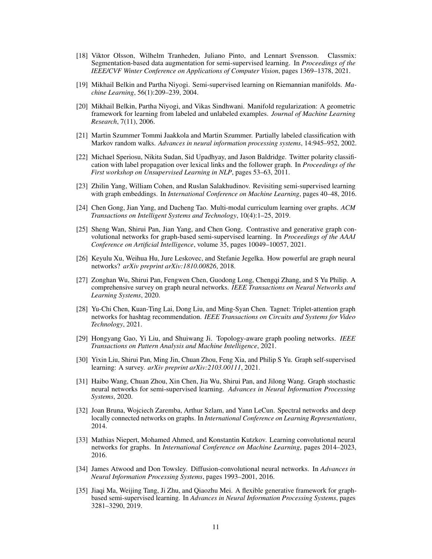- <span id="page-10-0"></span>[18] Viktor Olsson, Wilhelm Tranheden, Juliano Pinto, and Lennart Svensson. Classmix: Segmentation-based data augmentation for semi-supervised learning. In *Proceedings of the IEEE/CVF Winter Conference on Applications of Computer Vision*, pages 1369–1378, 2021.
- <span id="page-10-1"></span>[19] Mikhail Belkin and Partha Niyogi. Semi-supervised learning on Riemannian manifolds. *Machine Learning*, 56(1):209–239, 2004.
- <span id="page-10-2"></span>[20] Mikhail Belkin, Partha Niyogi, and Vikas Sindhwani. Manifold regularization: A geometric framework for learning from labeled and unlabeled examples. *Journal of Machine Learning Research*, 7(11), 2006.
- <span id="page-10-3"></span>[21] Martin Szummer Tommi Jaakkola and Martin Szummer. Partially labeled classification with Markov random walks. *Advances in neural information processing systems*, 14:945–952, 2002.
- <span id="page-10-4"></span>[22] Michael Speriosu, Nikita Sudan, Sid Upadhyay, and Jason Baldridge. Twitter polarity classification with label propagation over lexical links and the follower graph. In *Proceedings of the First workshop on Unsupervised Learning in NLP*, pages 53–63, 2011.
- <span id="page-10-5"></span>[23] Zhilin Yang, William Cohen, and Ruslan Salakhudinov. Revisiting semi-supervised learning with graph embeddings. In *International Conference on Machine Learning*, pages 40–48, 2016.
- <span id="page-10-6"></span>[24] Chen Gong, Jian Yang, and Dacheng Tao. Multi-modal curriculum learning over graphs. *ACM Transactions on Intelligent Systems and Technology*, 10(4):1–25, 2019.
- <span id="page-10-7"></span>[25] Sheng Wan, Shirui Pan, Jian Yang, and Chen Gong. Contrastive and generative graph convolutional networks for graph-based semi-supervised learning. In *Proceedings of the AAAI Conference on Artificial Intelligence*, volume 35, pages 10049–10057, 2021.
- <span id="page-10-8"></span>[26] Keyulu Xu, Weihua Hu, Jure Leskovec, and Stefanie Jegelka. How powerful are graph neural networks? *arXiv preprint arXiv:1810.00826*, 2018.
- <span id="page-10-9"></span>[27] Zonghan Wu, Shirui Pan, Fengwen Chen, Guodong Long, Chengqi Zhang, and S Yu Philip. A comprehensive survey on graph neural networks. *IEEE Transactions on Neural Networks and Learning Systems*, 2020.
- <span id="page-10-10"></span>[28] Yu-Chi Chen, Kuan-Ting Lai, Dong Liu, and Ming-Syan Chen. Tagnet: Triplet-attention graph networks for hashtag recommendation. *IEEE Transactions on Circuits and Systems for Video Technology*, 2021.
- <span id="page-10-11"></span>[29] Hongyang Gao, Yi Liu, and Shuiwang Ji. Topology-aware graph pooling networks. *IEEE Transactions on Pattern Analysis and Machine Intelligence*, 2021.
- <span id="page-10-12"></span>[30] Yixin Liu, Shirui Pan, Ming Jin, Chuan Zhou, Feng Xia, and Philip S Yu. Graph self-supervised learning: A survey. *arXiv preprint arXiv:2103.00111*, 2021.
- <span id="page-10-13"></span>[31] Haibo Wang, Chuan Zhou, Xin Chen, Jia Wu, Shirui Pan, and Jilong Wang. Graph stochastic neural networks for semi-supervised learning. *Advances in Neural Information Processing Systems*, 2020.
- <span id="page-10-14"></span>[32] Joan Bruna, Wojciech Zaremba, Arthur Szlam, and Yann LeCun. Spectral networks and deep locally connected networks on graphs. In *International Conference on Learning Representations*, 2014.
- <span id="page-10-15"></span>[33] Mathias Niepert, Mohamed Ahmed, and Konstantin Kutzkov. Learning convolutional neural networks for graphs. In *International Conference on Machine Learning*, pages 2014–2023, 2016.
- <span id="page-10-16"></span>[34] James Atwood and Don Towsley. Diffusion-convolutional neural networks. In *Advances in Neural Information Processing Systems*, pages 1993–2001, 2016.
- <span id="page-10-17"></span>[35] Jiaqi Ma, Weijing Tang, Ji Zhu, and Qiaozhu Mei. A flexible generative framework for graphbased semi-supervised learning. In *Advances in Neural Information Processing Systems*, pages 3281–3290, 2019.